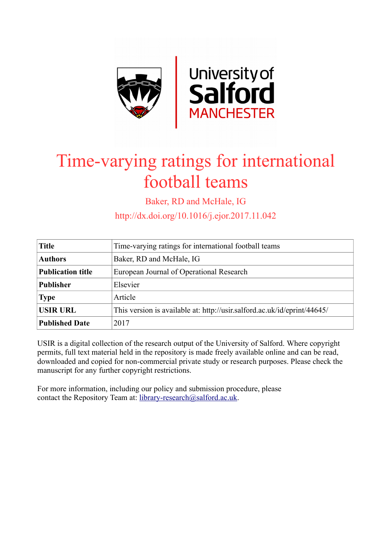

# Time-varying ratings for international football teams

Baker, RD and McHale, IG

http://dx.doi.org/10.1016/j.ejor.2017.11.042

| <b>Title</b>             | Time-varying ratings for international football teams                    |  |  |  |  |  |
|--------------------------|--------------------------------------------------------------------------|--|--|--|--|--|
| <b>Authors</b>           | Baker, RD and McHale, IG                                                 |  |  |  |  |  |
| <b>Publication title</b> | European Journal of Operational Research                                 |  |  |  |  |  |
| <b>Publisher</b>         | Elsevier                                                                 |  |  |  |  |  |
| <b>Type</b>              | Article                                                                  |  |  |  |  |  |
| <b>USIR URL</b>          | This version is available at: http://usir.salford.ac.uk/id/eprint/44645/ |  |  |  |  |  |
| <b>Published Date</b>    | 2017                                                                     |  |  |  |  |  |

USIR is a digital collection of the research output of the University of Salford. Where copyright permits, full text material held in the repository is made freely available online and can be read, downloaded and copied for non-commercial private study or research purposes. Please check the manuscript for any further copyright restrictions.

For more information, including our policy and submission procedure, please contact the Repository Team at: [library-research@salford.ac.uk.](mailto:library-research@salford.ac.uk)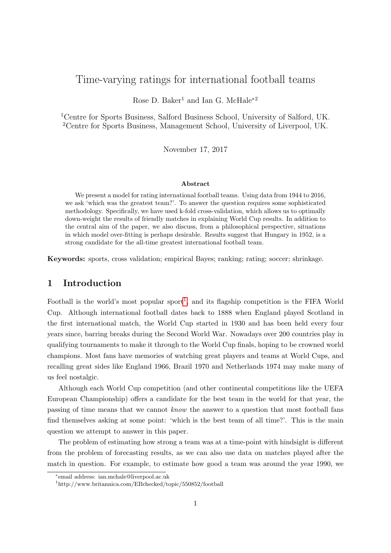# Time-varying ratings for international football teams

Rose D. Baker<sup>1</sup> and Ian G. McHale<sup>\*2</sup>

<sup>1</sup>Centre for Sports Business, Salford Business School, University of Salford, UK. <sup>2</sup>Centre for Sports Business, Management School, University of Liverpool, UK.

November 17, 2017

#### Abstract

We present a model for rating international football teams. Using data from 1944 to 2016, we ask 'which was the greatest team?'. To answer the question requires some sophisticated methodology. Specifically, we have used k-fold cross-validation, which allows us to optimally down-weight the results of friendly matches in explaining World Cup results. In addition to the central aim of the paper, we also discuss, from a philosophical perspective, situations in which model over-fitting is perhaps desirable. Results suggest that Hungary in 1952, is a strong candidate for the all-time greatest international football team.

Keywords: sports, cross validation; empirical Bayes; ranking; rating; soccer; shrinkage.

# 1 Introduction

Football is the world's most popular sport<sup>[1](#page-1-0)</sup>, and its flagship competition is the FIFA World Cup. Although international football dates back to 1888 when England played Scotland in the first international match, the World Cup started in 1930 and has been held every four years since, barring breaks during the Second World War. Nowadays over 200 countries play in qualifying tournaments to make it through to the World Cup finals, hoping to be crowned world champions. Most fans have memories of watching great players and teams at World Cups, and recalling great sides like England 1966, Brazil 1970 and Netherlands 1974 may make many of us feel nostalgic.

Although each World Cup competition (and other continental competitions like the UEFA European Championship) offers a candidate for the best team in the world for that year, the passing of time means that we cannot know the answer to a question that most football fans find themselves asking at some point: 'which is the best team of all time?'. This is the main question we attempt to answer in this paper.

The problem of estimating how strong a team was at a time-point with hindsight is different from the problem of forecasting results, as we can also use data on matches played after the match in question. For example, to estimate how good a team was around the year 1990, we

<sup>∗</sup> email address: ian.mchale@liverpool.ac.uk

<span id="page-1-0"></span><sup>1</sup>http://www.britannica.com/EBchecked/topic/550852/football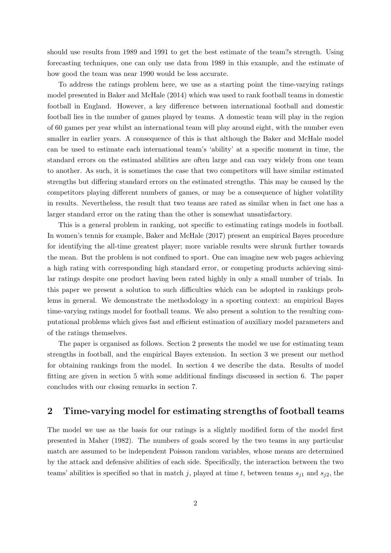should use results from 1989 and 1991 to get the best estimate of the team?s strength. Using forecasting techniques, one can only use data from 1989 in this example, and the estimate of how good the team was near 1990 would be less accurate.

To address the ratings problem here, we use as a starting point the time-varying ratings model presented in Baker and McHale (2014) which was used to rank football teams in domestic football in England. However, a key difference between international football and domestic football lies in the number of games played by teams. A domestic team will play in the region of 60 games per year whilst an international team will play around eight, with the number even smaller in earlier years. A consequence of this is that although the Baker and McHale model can be used to estimate each international team's 'ability' at a specific moment in time, the standard errors on the estimated abilities are often large and can vary widely from one team to another. As such, it is sometimes the case that two competitors will have similar estimated strengths but differing standard errors on the estimated strengths. This may be caused by the competitors playing different numbers of games, or may be a consequence of higher volatility in results. Nevertheless, the result that two teams are rated as similar when in fact one has a larger standard error on the rating than the other is somewhat unsatisfactory.

This is a general problem in ranking, not specific to estimating ratings models in football. In women's tennis for example, Baker and McHale (2017) present an empirical Bayes procedure for identifying the all-time greatest player; more variable results were shrunk further towards the mean. But the problem is not confined to sport. One can imagine new web pages achieving a high rating with corresponding high standard error, or competing products achieving similar ratings despite one product having been rated highly in only a small number of trials. In this paper we present a solution to such difficulties which can be adopted in rankings problems in general. We demonstrate the methodology in a sporting context: an empirical Bayes time-varying ratings model for football teams. We also present a solution to the resulting computational problems which gives fast and efficient estimation of auxiliary model parameters and of the ratings themselves.

The paper is organised as follows. Section 2 presents the model we use for estimating team strengths in football, and the empirical Bayes extension. In section 3 we present our method for obtaining rankings from the model. In section 4 we describe the data. Results of model fitting are given in section 5 with some additional findings discussed in section 6. The paper concludes with our closing remarks in section 7.

# 2 Time-varying model for estimating strengths of football teams

The model we use as the basis for our ratings is a slightly modified form of the model first presented in Maher (1982). The numbers of goals scored by the two teams in any particular match are assumed to be independent Poisson random variables, whose means are determined by the attack and defensive abilities of each side. Specifically, the interaction between the two teams' abilities is specified so that in match j, played at time t, between teams  $s_{i1}$  and  $s_{i2}$ , the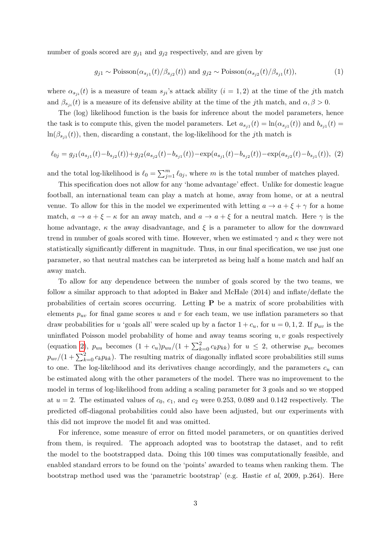number of goals scored are  $g_{j1}$  and  $g_{j2}$  respectively, and are given by

$$
g_{j1} \sim \text{Poisson}(\alpha_{s_{j1}}(t)/\beta_{s_{j2}}(t)) \text{ and } g_{j2} \sim \text{Poisson}(\alpha_{s_{j2}}(t)/\beta_{s_{j1}}(t)),\tag{1}
$$

where  $\alpha_{s_{ji}}(t)$  is a measure of team  $s_{ji}$ 's attack ability  $(i = 1, 2)$  at the time of the jth match and  $\beta_{s_{ji}}(t)$  is a measure of its defensive ability at the time of the jth match, and  $\alpha, \beta > 0$ .

The (log) likelihood function is the basis for inference about the model parameters, hence the task is to compute this, given the model parameters. Let  $a_{s_{j1}}(t) = \ln(\alpha_{s_{j1}}(t))$  and  $b_{s_{j1}}(t) =$  $\ln(\beta_{s_{j1}}(t))$ , then, discarding a constant, the log-likelihood for the jth match is

<span id="page-3-0"></span>
$$
\ell_{0j} = g_{j1}(a_{s_{j1}}(t) - b_{s_{j2}}(t)) + g_{j2}(a_{s_{j2}}(t) - b_{s_{j1}}(t)) - \exp(a_{s_{j1}}(t) - b_{s_{j2}}(t)) - \exp(a_{s_{j2}}(t) - b_{s_{j1}}(t)), (2)
$$

and the total log-likelihood is  $\ell_0 = \sum_{j=1}^m \ell_{0j}$ , where m is the total number of matches played.

This specification does not allow for any 'home advantage' effect. Unlike for domestic league football, an international team can play a match at home, away from home, or at a neutral venue. To allow for this in the model we experimented with letting  $a \to a + \xi + \gamma$  for a home match,  $a \to a + \xi - \kappa$  for an away match, and  $a \to a + \xi$  for a neutral match. Here  $\gamma$  is the home advantage,  $\kappa$  the away disadvantage, and  $\xi$  is a parameter to allow for the downward trend in number of goals scored with time. However, when we estimated  $\gamma$  and  $\kappa$  they were not statistically significantly different in magnitude. Thus, in our final specification, we use just one parameter, so that neutral matches can be interpreted as being half a home match and half an away match.

To allow for any dependence between the number of goals scored by the two teams, we follow a similar approach to that adopted in Baker and McHale (2014) and inflate/deflate the probabilities of certain scores occurring. Letting  $P$  be a matrix of score probabilities with elements  $p_{uv}$  for final game scores u and v for each team, we use inflation parameters so that draw probabilities for u 'goals all' were scaled up by a factor  $1 + c_u$ , for  $u = 0, 1, 2$ . If  $p_{uv}$  is the uninflated Poisson model probability of home and away teams scoring  $u, v$  goals respectively (equation [2\)](#page-3-0),  $p_{uu}$  becomes  $(1 + c_u)p_{uu}/(1 + \sum_{k=0}^{2} c_k p_{kk})$  for  $u \leq 2$ , otherwise  $p_{uv}$  becomes  $p_{uv}/(1+\sum_{k=0}^{2}c_kp_{kk})$ . The resulting matrix of diagonally inflated score probabilities still sums to one. The log-likelihood and its derivatives change accordingly, and the parameters  $c_u$  can be estimated along with the other parameters of the model. There was no improvement to the model in terms of log-likelihood from adding a scaling parameter for 3 goals and so we stopped at  $u = 2$ . The estimated values of  $c_0$ ,  $c_1$ , and  $c_2$  were 0.253, 0.089 and 0.142 respectively. The predicted off-diagonal probabilities could also have been adjusted, but our experiments with this did not improve the model fit and was omitted.

For inference, some measure of error on fitted model parameters, or on quantities derived from them, is required. The approach adopted was to bootstrap the dataset, and to refit the model to the bootstrapped data. Doing this 100 times was computationally feasible, and enabled standard errors to be found on the 'points' awarded to teams when ranking them. The bootstrap method used was the 'parametric bootstrap' (e.g. Hastie et al, 2009, p.264). Here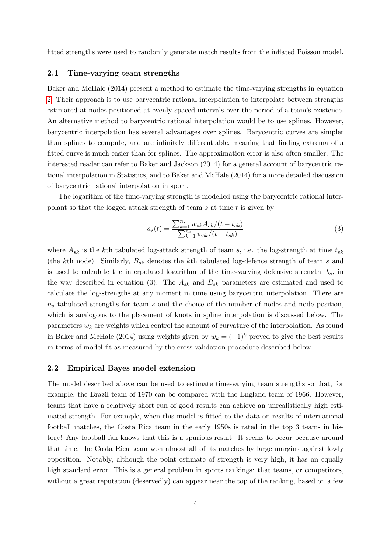fitted strengths were used to randomly generate match results from the inflated Poisson model.

#### 2.1 Time-varying team strengths

Baker and McHale (2014) present a method to estimate the time-varying strengths in equation [2.](#page-3-0) Their approach is to use barycentric rational interpolation to interpolate between strengths estimated at nodes positioned at evenly spaced intervals over the period of a team's existence. An alternative method to barycentric rational interpolation would be to use splines. However, barycentric interpolation has several advantages over splines. Barycentric curves are simpler than splines to compute, and are infinitely differentiable, meaning that finding extrema of a fitted curve is much easier than for splines. The approximation error is also often smaller. The interested reader can refer to Baker and Jackson (2014) for a general account of barycentric rational interpolation in Statistics, and to Baker and McHale (2014) for a more detailed discussion of barycentric rational interpolation in sport.

The logarithm of the time-varying strength is modelled using the barycentric rational interpolant so that the logged attack strength of team s at time t is given by

$$
a_s(t) = \frac{\sum_{k=1}^{n_s} w_{sk} A_{sk} / (t - t_{sk})}{\sum_{k=1}^{n_s} w_{sk} / (t - t_{sk})}
$$
(3)

where  $A_{sk}$  is the kth tabulated log-attack strength of team s, i.e. the log-strength at time  $t_{sk}$ (the kth node). Similarly,  $B_{sk}$  denotes the kth tabulated log-defence strength of team s and is used to calculate the interpolated logarithm of the time-varying defensive strength,  $b_s$ , in the way described in equation (3). The  $A_{sk}$  and  $B_{sk}$  parameters are estimated and used to calculate the log-strengths at any moment in time using barycentric interpolation. There are  $n<sub>s</sub>$  tabulated strengths for team s and the choice of the number of nodes and node position, which is analogous to the placement of knots in spline interpolation is discussed below. The parameters  $w_k$  are weights which control the amount of curvature of the interpolation. As found in Baker and McHale (2014) using weights given by  $w_k = (-1)^k$  proved to give the best results in terms of model fit as measured by the cross validation procedure described below.

#### 2.2 Empirical Bayes model extension

The model described above can be used to estimate time-varying team strengths so that, for example, the Brazil team of 1970 can be compared with the England team of 1966. However, teams that have a relatively short run of good results can achieve an unrealistically high estimated strength. For example, when this model is fitted to the data on results of international football matches, the Costa Rica team in the early 1950s is rated in the top 3 teams in history! Any football fan knows that this is a spurious result. It seems to occur because around that time, the Costa Rica team won almost all of its matches by large margins against lowly opposition. Notably, although the point estimate of strength is very high, it has an equally high standard error. This is a general problem in sports rankings: that teams, or competitors, without a great reputation (deservedly) can appear near the top of the ranking, based on a few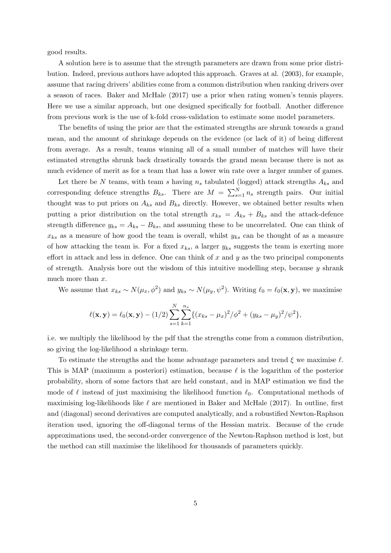good results.

A solution here is to assume that the strength parameters are drawn from some prior distribution. Indeed, previous authors have adopted this approach. Graves at al. (2003), for example, assume that racing drivers' abilities come from a common distribution when ranking drivers over a season of races. Baker and McHale (2017) use a prior when rating women's tennis players. Here we use a similar approach, but one designed specifically for football. Another difference from previous work is the use of k-fold cross-validation to estimate some model parameters.

The benefits of using the prior are that the estimated strengths are shrunk towards a grand mean, and the amount of shrinkage depends on the evidence (or lack of it) of being different from average. As a result, teams winning all of a small number of matches will have their estimated strengths shrunk back drastically towards the grand mean because there is not as much evidence of merit as for a team that has a lower win rate over a larger number of games.

Let there be N teams, with team s having  $n_s$  tabulated (logged) attack strengths  $A_{ks}$  and corresponding defence strengths  $B_{ks}$ . There are  $M = \sum_{s=1}^{N} n_s$  strength pairs. Our initial thought was to put priors on  $A_{ks}$  and  $B_{ks}$  directly. However, we obtained better results when putting a prior distribution on the total strength  $x_{ks} = A_{ks} + B_{ks}$  and the attack-defence strength difference  $y_{ks} = A_{ks} - B_{ks}$ , and assuming these to be uncorrelated. One can think of  $x_{ks}$  as a measure of how good the team is overall, whilst  $y_{ks}$  can be thought of as a measure of how attacking the team is. For a fixed  $x_{ks}$ , a larger  $y_{ks}$  suggests the team is exerting more effort in attack and less in defence. One can think of  $x$  and  $y$  as the two principal components of strength. Analysis bore out the wisdom of this intuitive modelling step, because  $y$  shrank much more than x.

We assume that  $x_{ks} \sim N(\mu_x, \phi^2)$  and  $y_{ks} \sim N(\mu_y, \psi^2)$ . Writing  $\ell_0 = \ell_0(\mathbf{x}, \mathbf{y})$ , we maximise

$$
\ell(\mathbf{x}, \mathbf{y}) = \ell_0(\mathbf{x}, \mathbf{y}) - (1/2) \sum_{s=1}^{N} \sum_{k=1}^{n_s} \{ (x_{ks} - \mu_x)^2 / \phi^2 + (y_{ks} - \mu_y)^2 / \psi^2 \},
$$

i.e. we multiply the likelihood by the pdf that the strengths come from a common distribution, so giving the log-likelihood a shrinkage term.

To estimate the strengths and the home advantage parameters and trend  $\xi$  we maximise  $\ell$ . This is MAP (maximum a posteriori) estimation, because  $\ell$  is the logarithm of the posterior probability, shorn of some factors that are held constant, and in MAP estimation we find the mode of  $\ell$  instead of just maximising the likelihood function  $\ell_0$ . Computational methods of maximising log-likelihoods like  $\ell$  are mentioned in Baker and McHale (2017). In outline, first and (diagonal) second derivatives are computed analytically, and a robustified Newton-Raphson iteration used, ignoring the off-diagonal terms of the Hessian matrix. Because of the crude approximations used, the second-order convergence of the Newton-Raphson method is lost, but the method can still maximise the likelihood for thousands of parameters quickly.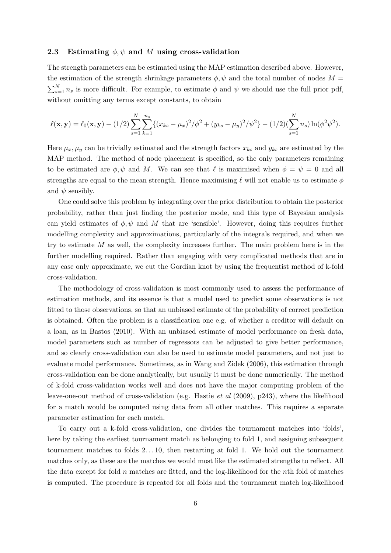#### 2.3 Estimating  $\phi, \psi$  and M using cross-validation

The strength parameters can be estimated using the MAP estimation described above. However, the estimation of the strength shrinkage parameters  $\phi, \psi$  and the total number of nodes  $M =$  $\sum_{s=1}^{N} n_s$  is more difficult. For example, to estimate  $\phi$  and  $\psi$  we should use the full prior pdf, without omitting any terms except constants, to obtain

$$
\ell(\mathbf{x}, \mathbf{y}) = \ell_0(\mathbf{x}, \mathbf{y}) - (1/2) \sum_{s=1}^N \sum_{k=1}^{n_s} \{ (x_{ks} - \mu_x)^2 / \phi^2 + (y_{ks} - \mu_y)^2 / \psi^2 \} - (1/2) (\sum_{s=1}^N n_s) \ln(\phi^2 \psi^2).
$$

Here  $\mu_x, \mu_y$  can be trivially estimated and the strength factors  $x_{ks}$  and  $y_{ks}$  are estimated by the MAP method. The method of node placement is specified, so the only parameters remaining to be estimated are  $\phi, \psi$  and M. We can see that  $\ell$  is maximised when  $\phi = \psi = 0$  and all strengths are equal to the mean strength. Hence maximising  $\ell$  will not enable us to estimate  $\phi$ and  $\psi$  sensibly.

One could solve this problem by integrating over the prior distribution to obtain the posterior probability, rather than just finding the posterior mode, and this type of Bayesian analysis can yield estimates of  $\phi, \psi$  and M that are 'sensible'. However, doing this requires further modelling complexity and approximations, particularly of the integrals required, and when we try to estimate  $M$  as well, the complexity increases further. The main problem here is in the further modelling required. Rather than engaging with very complicated methods that are in any case only approximate, we cut the Gordian knot by using the frequentist method of k-fold cross-validation.

The methodology of cross-validation is most commonly used to assess the performance of estimation methods, and its essence is that a model used to predict some observations is not fitted to those observations, so that an unbiased estimate of the probability of correct prediction is obtained. Often the problem is a classification one e.g. of whether a creditor will default on a loan, as in Bastos (2010). With an unbiased estimate of model performance on fresh data, model parameters such as number of regressors can be adjusted to give better performance, and so clearly cross-validation can also be used to estimate model parameters, and not just to evaluate model performance. Sometimes, as in Wang and Zidek (2006), this estimation through cross-validation can be done analytically, but usually it must be done numerically. The method of k-fold cross-validation works well and does not have the major computing problem of the leave-one-out method of cross-validation (e.g. Hastie et al (2009), p243), where the likelihood for a match would be computed using data from all other matches. This requires a separate parameter estimation for each match.

To carry out a k-fold cross-validation, one divides the tournament matches into 'folds', here by taking the earliest tournament match as belonging to fold 1, and assigning subsequent tournament matches to folds 2. . . 10, then restarting at fold 1. We hold out the tournament matches only, as these are the matches we would most like the estimated strengths to reflect. All the data except for fold  $n$  matches are fitted, and the log-likelihood for the nth fold of matches is computed. The procedure is repeated for all folds and the tournament match log-likelihood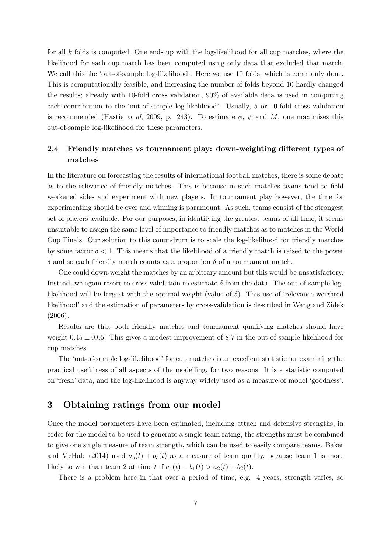for all k folds is computed. One ends up with the log-likelihood for all cup matches, where the likelihood for each cup match has been computed using only data that excluded that match. We call this the 'out-of-sample log-likelihood'. Here we use 10 folds, which is commonly done. This is computationally feasible, and increasing the number of folds beyond 10 hardly changed the results; already with 10-fold cross validation, 90% of available data is used in computing each contribution to the 'out-of-sample log-likelihood'. Usually, 5 or 10-fold cross validation is recommended (Hastie *et al*, 2009, p. 243). To estimate  $\phi$ ,  $\psi$  and M, one maximises this out-of-sample log-likelihood for these parameters.

# 2.4 Friendly matches vs tournament play: down-weighting different types of matches

In the literature on forecasting the results of international football matches, there is some debate as to the relevance of friendly matches. This is because in such matches teams tend to field weakened sides and experiment with new players. In tournament play however, the time for experimenting should be over and winning is paramount. As such, teams consist of the strongest set of players available. For our purposes, in identifying the greatest teams of all time, it seems unsuitable to assign the same level of importance to friendly matches as to matches in the World Cup Finals. Our solution to this conundrum is to scale the log-likelihood for friendly matches by some factor  $\delta < 1$ . This means that the likelihood of a friendly match is raised to the power δ and so each friendly match counts as a proportion δ of a tournament match.

One could down-weight the matches by an arbitrary amount but this would be unsatisfactory. Instead, we again resort to cross validation to estimate  $\delta$  from the data. The out-of-sample loglikelihood will be largest with the optimal weight (value of  $\delta$ ). This use of 'relevance weighted likelihood' and the estimation of parameters by cross-validation is described in Wang and Zidek (2006).

Results are that both friendly matches and tournament qualifying matches should have weight  $0.45 \pm 0.05$ . This gives a modest improvement of 8.7 in the out-of-sample likelihood for cup matches.

The 'out-of-sample log-likelihood' for cup matches is an excellent statistic for examining the practical usefulness of all aspects of the modelling, for two reasons. It is a statistic computed on 'fresh' data, and the log-likelihood is anyway widely used as a measure of model 'goodness'.

# 3 Obtaining ratings from our model

Once the model parameters have been estimated, including attack and defensive strengths, in order for the model to be used to generate a single team rating, the strengths must be combined to give one single measure of team strength, which can be used to easily compare teams. Baker and McHale (2014) used  $a_s(t) + b_s(t)$  as a measure of team quality, because team 1 is more likely to win than team 2 at time t if  $a_1(t) + b_1(t) > a_2(t) + b_2(t)$ .

There is a problem here in that over a period of time, e.g. 4 years, strength varies, so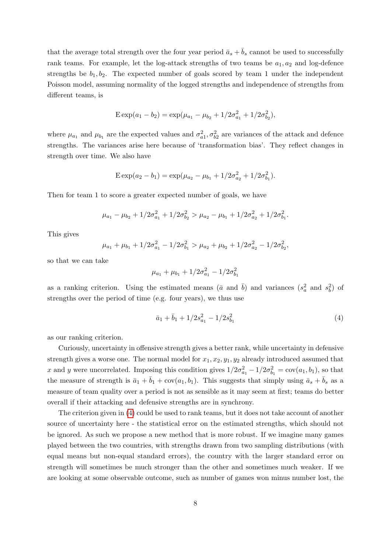that the average total strength over the four year period  $\bar{a}_s + \bar{b}_s$  cannot be used to successfully rank teams. For example, let the log-attack strengths of two teams be  $a_1, a_2$  and log-defence strengths be  $b_1, b_2$ . The expected number of goals scored by team 1 under the independent Poisson model, assuming normality of the logged strengths and independence of strengths from different teams, is

$$
E \exp(a_1 - b_2) = \exp(\mu_{a_1} - \mu_{b_2} + 1/2\sigma_{a_1}^2 + 1/2\sigma_{b_2}^2),
$$

where  $\mu_{a_1}$  and  $\mu_{b_1}$  are the expected values and  $\sigma_{a_1}^2$ ,  $\sigma_{b_2}^2$  are variances of the attack and defence strengths. The variances arise here because of 'transformation bias'. They reflect changes in strength over time. We also have

$$
E \exp(a_2 - b_1) = \exp(\mu_{a_2} - \mu_{b_1} + 1/2\sigma_{a_2}^2 + 1/2\sigma_{b_1}^2).
$$

Then for team 1 to score a greater expected number of goals, we have

$$
\mu_{a_1} - \mu_{b_2} + 1/2\sigma_{a_1}^2 + 1/2\sigma_{b_2}^2 > \mu_{a_2} - \mu_{b_1} + 1/2\sigma_{a_2}^2 + 1/2\sigma_{b_1}^2.
$$

This gives

$$
\mu_{a_1} + \mu_{b_1} + 1/2\sigma_{a_1}^2 - 1/2\sigma_{b_1}^2 > \mu_{a_2} + \mu_{b_2} + 1/2\sigma_{a_2}^2 - 1/2\sigma_{b_2}^2,
$$

so that we can take

$$
\mu_{a_1} + \mu_{b_1} + 1/2\sigma_{a_1}^2 - 1/2\sigma_{b_1}^2
$$

as a ranking criterion. Using the estimated means  $(\bar{a} \text{ and } \bar{b})$  and variances  $(s_a^2 \text{ and } s_b^2)$  of strengths over the period of time (e.g. four years), we thus use

<span id="page-8-0"></span>
$$
\bar{a}_1 + \bar{b}_1 + 1/2s_{a_1}^2 - 1/2s_{b_1}^2 \tag{4}
$$

as our ranking criterion.

Curiously, uncertainty in offensive strength gives a better rank, while uncertainty in defensive strength gives a worse one. The normal model for  $x_1, x_2, y_1, y_2$  already introduced assumed that x and y were uncorrelated. Imposing this condition gives  $1/2\sigma_{a_1}^2 - 1/2\sigma_{b_1}^2 = \text{cov}(a_1, b_1)$ , so that the measure of strength is  $\bar{a}_1 + \bar{b}_1 + \text{cov}(a_1, b_1)$ . This suggests that simply using  $\bar{a}_s + b_s$  as a measure of team quality over a period is not as sensible as it may seem at first; teams do better overall if their attacking and defensive strengths are in synchrony.

The criterion given in [\(4\)](#page-8-0) could be used to rank teams, but it does not take account of another source of uncertainty here - the statistical error on the estimated strengths, which should not be ignored. As such we propose a new method that is more robust. If we imagine many games played between the two countries, with strengths drawn from two sampling distributions (with equal means but non-equal standard errors), the country with the larger standard error on strength will sometimes be much stronger than the other and sometimes much weaker. If we are looking at some observable outcome, such as number of games won minus number lost, the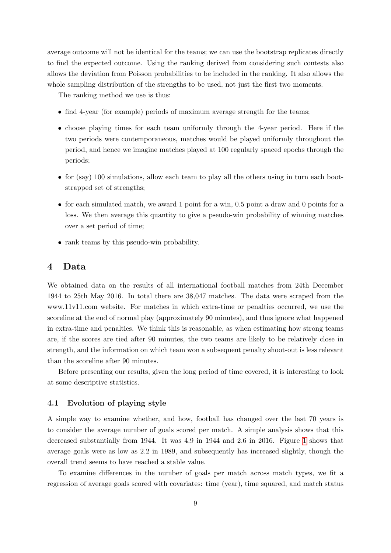average outcome will not be identical for the teams; we can use the bootstrap replicates directly to find the expected outcome. Using the ranking derived from considering such contests also allows the deviation from Poisson probabilities to be included in the ranking. It also allows the whole sampling distribution of the strengths to be used, not just the first two moments.

The ranking method we use is thus:

- find 4-year (for example) periods of maximum average strength for the teams;
- choose playing times for each team uniformly through the 4-year period. Here if the two periods were contemporaneous, matches would be played uniformly throughout the period, and hence we imagine matches played at 100 regularly spaced epochs through the periods;
- for (say) 100 simulations, allow each team to play all the others using in turn each bootstrapped set of strengths;
- for each simulated match, we award 1 point for a win, 0.5 point a draw and 0 points for a loss. We then average this quantity to give a pseudo-win probability of winning matches over a set period of time;
- rank teams by this pseudo-win probability.

### 4 Data

We obtained data on the results of all international football matches from 24th December 1944 to 25th May 2016. In total there are 38,047 matches. The data were scraped from the www.11v11.com website. For matches in which extra-time or penalties occurred, we use the scoreline at the end of normal play (approximately 90 minutes), and thus ignore what happened in extra-time and penalties. We think this is reasonable, as when estimating how strong teams are, if the scores are tied after 90 minutes, the two teams are likely to be relatively close in strength, and the information on which team won a subsequent penalty shoot-out is less relevant than the scoreline after 90 minutes.

Before presenting our results, given the long period of time covered, it is interesting to look at some descriptive statistics.

#### 4.1 Evolution of playing style

A simple way to examine whether, and how, football has changed over the last 70 years is to consider the average number of goals scored per match. A simple analysis shows that this decreased substantially from 1944. It was 4.9 in 1944 and 2.6 in 2016. Figure [1](#page-10-0) shows that average goals were as low as 2.2 in 1989, and subsequently has increased slightly, though the overall trend seems to have reached a stable value.

To examine differences in the number of goals per match across match types, we fit a regression of average goals scored with covariates: time (year), time squared, and match status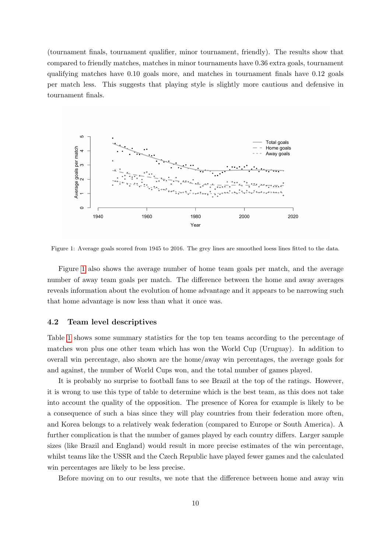(tournament finals, tournament qualifier, minor tournament, friendly). The results show that compared to friendly matches, matches in minor tournaments have 0.36 extra goals, tournament qualifying matches have 0.10 goals more, and matches in tournament finals have 0.12 goals per match less. This suggests that playing style is slightly more cautious and defensive in tournament finals.

<span id="page-10-0"></span>

Figure 1: Average goals scored from 1945 to 2016. The grey lines are smoothed loess lines fitted to the data.

Figure [1](#page-10-0) also shows the average number of home team goals per match, and the average number of away team goals per match. The difference between the home and away averages reveals information about the evolution of home advantage and it appears to be narrowing such that home advantage is now less than what it once was.

#### 4.2 Team level descriptives

Table [1](#page-11-0) shows some summary statistics for the top ten teams according to the percentage of matches won plus one other team which has won the World Cup (Uruguay). In addition to overall win percentage, also shown are the home/away win percentages, the average goals for and against, the number of World Cups won, and the total number of games played.

It is probably no surprise to football fans to see Brazil at the top of the ratings. However, it is wrong to use this type of table to determine which is the best team, as this does not take into account the quality of the opposition. The presence of Korea for example is likely to be a consequence of such a bias since they will play countries from their federation more often, and Korea belongs to a relatively weak federation (compared to Europe or South America). A further complication is that the number of games played by each country differs. Larger sample sizes (like Brazil and England) would result in more precise estimates of the win percentage, whilst teams like the USSR and the Czech Republic have played fewer games and the calculated win percentages are likely to be less precise.

Before moving on to our results, we note that the difference between home and away win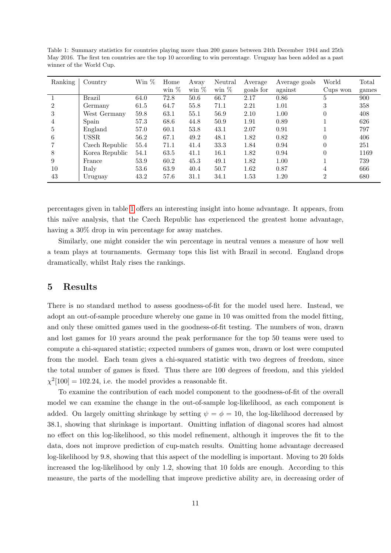| Ranking        | Country        | $\operatorname{Win} \, \%$ | Home    | Away    | Neutral | Average   | Average goals | World          | Total |
|----------------|----------------|----------------------------|---------|---------|---------|-----------|---------------|----------------|-------|
|                |                |                            | win $%$ | win $%$ | win $%$ | goals for | against       | Cups won       | games |
|                | <b>Brazil</b>  | 64.0                       | 72.8    | 50.6    | 66.7    | 2.17      | 0.86          | 5              | 900   |
| $\overline{2}$ | Germany        | 61.5                       | 64.7    | 55.8    | 71.1    | 2.21      | 1.01          | 3              | 358   |
| 3              | West Germany   | 59.8                       | 63.1    | 55.1    | 56.9    | 2.10      | 1.00          |                | 408   |
| 4              | Spain          | 57.3                       | 68.6    | 44.8    | 50.9    | 1.91      | 0.89          |                | 626   |
| 5              | England        | 57.0                       | 60.1    | 53.8    | 43.1    | 2.07      | 0.91          |                | 797   |
| 6              | <b>USSR</b>    | 56.2                       | 67.1    | 49.2    | 48.1    | 1.82      | 0.82          |                | 406   |
|                | Czech Republic | 55.4                       | 71.1    | 41.4    | 33.3    | 1.84      | 0.94          |                | 251   |
| 8              | Korea Republic | 54.1                       | 63.5    | 41.1    | 16.1    | 1.82      | 0.94          |                | 1169  |
| 9              | France         | 53.9                       | 60.2    | 45.3    | 49.1    | 1.82      | 1.00          |                | 739   |
| 10             | Italy          | 53.6                       | 63.9    | 40.4    | 50.7    | 1.62      | 0.87          | 4              | 666   |
| 43             | Uruguay        | 43.2                       | 57.6    | 31.1    | 34.1    | 1.53      | 1.20          | $\mathfrak{D}$ | 680   |

<span id="page-11-0"></span>Table 1: Summary statistics for countries playing more than 200 games between 24th December 1944 and 25th May 2016. The first ten countries are the top 10 according to win percentage. Uruguay has been added as a past winner of the World Cup.

percentages given in table [1](#page-11-0) offers an interesting insight into home advantage. It appears, from this na¨ıve analysis, that the Czech Republic has experienced the greatest home advantage, having a  $30\%$  drop in win percentage for away matches.

Similarly, one might consider the win percentage in neutral venues a measure of how well a team plays at tournaments. Germany tops this list with Brazil in second. England drops dramatically, whilst Italy rises the rankings.

# 5 Results

There is no standard method to assess goodness-of-fit for the model used here. Instead, we adopt an out-of-sample procedure whereby one game in 10 was omitted from the model fitting, and only these omitted games used in the goodness-of-fit testing. The numbers of won, drawn and lost games for 10 years around the peak performance for the top 50 teams were used to compute a chi-squared statistic; expected numbers of games won, drawn or lost were computed from the model. Each team gives a chi-squared statistic with two degrees of freedom, since the total number of games is fixed. Thus there are 100 degrees of freedom, and this yielded  $\chi^2$ [100] = 102.24, i.e. the model provides a reasonable fit.

To examine the contribution of each model component to the goodness-of-fit of the overall model we can examine the change in the out-of-sample log-likelihood, as each component is added. On largely omitting shrinkage by setting  $\psi = \phi = 10$ , the log-likelihood decreased by 38.1, showing that shrinkage is important. Omitting inflation of diagonal scores had almost no effect on this log-likelihood, so this model refinement, although it improves the fit to the data, does not improve prediction of cup-match results. Omitting home advantage decreased log-likelihood by 9.8, showing that this aspect of the modelling is important. Moving to 20 folds increased the log-likelihood by only 1.2, showing that 10 folds are enough. According to this measure, the parts of the modelling that improve predictive ability are, in decreasing order of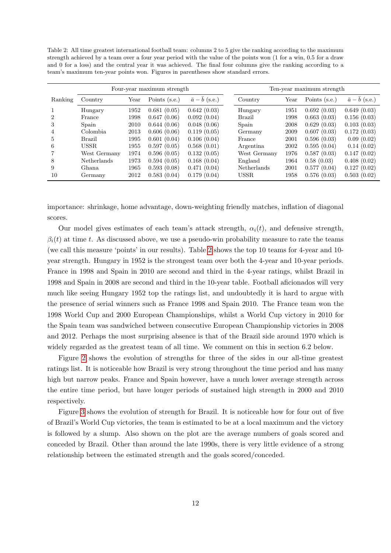<span id="page-12-0"></span>Table 2: All time greatest international football team: columns 2 to 5 give the ranking according to the maximum strength achieved by a team over a four year period with the value of the points won (1 for a win, 0.5 for a draw and 0 for a loss) and the central year it was achieved. The final four columns give the ranking according to a team's maximum ten-year points won. Figures in parentheses show standard errors.

|         | Four-year maximum strength |      |               |                          | Ten-year maximum strength |      |               |                          |
|---------|----------------------------|------|---------------|--------------------------|---------------------------|------|---------------|--------------------------|
| Ranking | Country                    | Year | Points (s.e.) | $\bar{a}-\bar{b}$ (s.e.) | Country                   | Year | Points (s.e.) | $\bar{a}-\bar{b}$ (s.e.) |
|         | Hungary                    | 1952 | 0.681(0.05)   | 0.642(0.03)              | Hungary                   | 1951 | 0.692(0.03)   | 0.649(0.03)              |
| 2       | France                     | 1998 | 0.647(0.06)   | 0.092(0.04)              | Brazil                    | 1998 | 0.663(0.03)   | 0.156(0.03)              |
| 3       | Spain                      | 2010 | 0.644(0.06)   | 0.048(0.06)              | Spain                     | 2008 | 0.629(0.03)   | 0.103(0.03)              |
| 4       | Colombia                   | 2013 | 0.606(0.06)   | 0.119(0.05)              | Germany                   | 2009 | 0.607(0.03)   | 0.172(0.03)              |
| 5       | <b>Brazil</b>              | 1995 | 0.601(0.04)   | 0.106(0.04)              | France                    | 2001 | 0.596(0.03)   | 0.09(0.02)               |
| 6       | <b>USSR</b>                | 1955 | 0.597(0.05)   | 0.568(0.01)              | Argentina                 | 2002 | 0.595(0.04)   | 0.14(0.02)               |
|         | West Germany               | 1974 | 0.596(0.05)   | 0.132(0.05)              | West Germany              | 1976 | 0.587(0.03)   | 0.147(0.02)              |
| 8       | <b>Netherlands</b>         | 1973 | 0.594(0.05)   | 0.168(0.04)              | England                   | 1964 | 0.58(0.03)    | 0.408(0.02)              |
| 9       | Ghana.                     | 1965 | 0.593(0.08)   | 0.471(0.04)              | Netherlands               | 2001 | 0.577(0.04)   | 0.127(0.02)              |
| 10      | Germany                    | 2012 | 0.583(0.04)   | 0.179(0.04)              | <b>USSR</b>               | 1958 | 0.576(0.03)   | 0.503(0.02)              |

importance: shrinkage, home advantage, down-weighting friendly matches, inflation of diagonal scores.

Our model gives estimates of each team's attack strength,  $\alpha_i(t)$ , and defensive strength,  $\beta_i(t)$  at time t. As discussed above, we use a pseudo-win probability measure to rate the teams (we call this measure 'points' in our results). Table [2](#page-12-0) shows the top 10 teams for 4-year and 10 year strength. Hungary in 1952 is the strongest team over both the 4-year and 10-year periods. France in 1998 and Spain in 2010 are second and third in the 4-year ratings, whilst Brazil in 1998 and Spain in 2008 are second and third in the 10-year table. Football aficionados will very much like seeing Hungary 1952 top the ratings list, and undoubtedly it is hard to argue with the presence of serial winners such as France 1998 and Spain 2010. The France team won the 1998 World Cup and 2000 European Championships, whilst a World Cup victory in 2010 for the Spain team was sandwiched between consecutive European Championship victories in 2008 and 2012. Perhaps the most surprising absence is that of the Brazil side around 1970 which is widely regarded as the greatest team of all time. We comment on this in section 6.2 below.

Figure [2](#page-13-0) shows the evolution of strengths for three of the sides in our all-time greatest ratings list. It is noticeable how Brazil is very strong throughout the time period and has many high but narrow peaks. France and Spain however, have a much lower average strength across the entire time period, but have longer periods of sustained high strength in 2000 and 2010 respectively.

Figure [3](#page-14-0) shows the evolution of strength for Brazil. It is noticeable how for four out of five of Brazil's World Cup victories, the team is estimated to be at a local maximum and the victory is followed by a slump. Also shown on the plot are the average numbers of goals scored and conceded by Brazil. Other than around the late 1990s, there is very little evidence of a strong relationship between the estimated strength and the goals scored/conceded.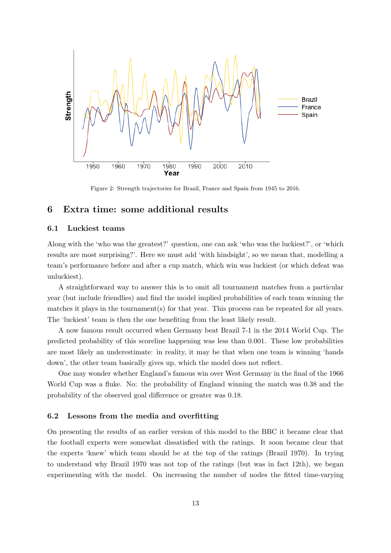<span id="page-13-0"></span>

Figure 2: Strength trajectories for Brazil, France and Spain from 1945 to 2016.

## 6 Extra time: some additional results

#### 6.1 Luckiest teams

Along with the 'who was the greatest?' question, one can ask 'who was the luckiest?', or 'which results are most surprising?'. Here we must add 'with hindsight', so we mean that, modelling a team's performance before and after a cup match, which win was luckiest (or which defeat was unluckiest).

A straightforward way to answer this is to omit all tournament matches from a particular year (but include friendlies) and find the model implied probabilities of each team winning the matches it plays in the tournament(s) for that year. This process can be repeated for all years. The 'luckiest' team is then the one benefiting from the least likely result.

A now famous result occurred when Germany beat Brazil 7-1 in the 2014 World Cup. The predicted probability of this scoreline happening was less than 0.001. These low probabilities are most likely an underestimate: in reality, it may be that when one team is winning 'hands down', the other team basically gives up, which the model does not reflect.

One may wonder whether England's famous win over West Germany in the final of the 1966 World Cup was a fluke. No: the probability of England winning the match was 0.38 and the probability of the observed goal difference or greater was 0.18.

#### 6.2 Lessons from the media and overfitting

On presenting the results of an earlier version of this model to the BBC it became clear that the football experts were somewhat dissatisfied with the ratings. It soon became clear that the experts 'knew' which team should be at the top of the ratings (Brazil 1970). In trying to understand why Brazil 1970 was not top of the ratings (but was in fact 12th), we began experimenting with the model. On increasing the number of nodes the fitted time-varying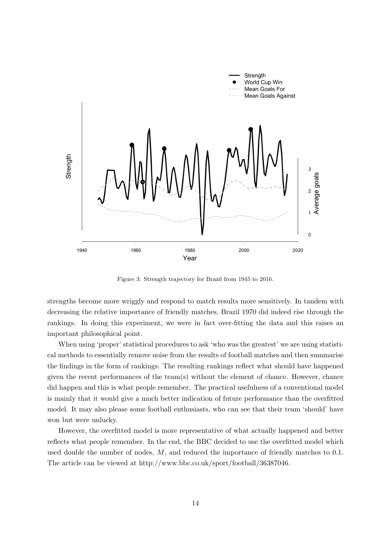<span id="page-14-0"></span>

Figure 3: Strength trajectory for Brazil from 1945 to 2016.

strengths become more wriggly and respond to match results more sensitively. In tandem with decreasing the relative importance of friendly matches, Brazil 1970 did indeed rise through the rankings. In doing this experiment, we were in fact over-fitting the data and this raises an important philosophical point.

When using 'proper' statistical procedures to ask 'who was the greatest' we are using statistical methods to essentially remove noise from the results of football matches and then summarise the findings in the form of rankings. The resulting rankings reflect what should have happened given the recent performances of the team(s) without the element of chance. However, chance did happen and this is what people remember. The practical usefulness of a conventional model is mainly that it would give a much better indication of future performance than the overfitted model. It may also please some football enthusiasts, who can see that their team 'should' have won but were unlucky.

However, the overfitted model is more representative of what actually happened and better reflects what people remember. In the end, the BBC decided to use the overfitted model which used double the number of nodes,  $M$ , and reduced the importance of friendly matches to 0.1. The article can be viewed at http://www.bbc.co.uk/sport/football/36387046.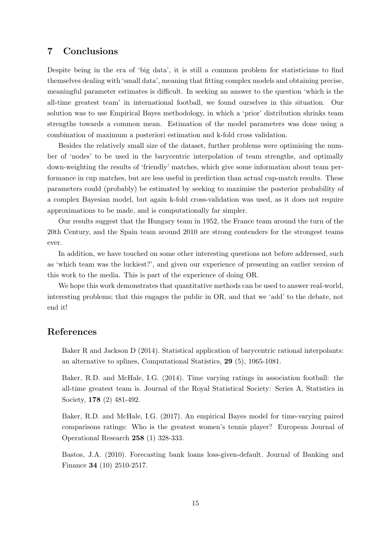# 7 Conclusions

Despite being in the era of 'big data', it is still a common problem for statisticians to find themselves dealing with 'small data', meaning that fitting complex models and obtaining precise, meaningful parameter estimates is difficult. In seeking an answer to the question 'which is the all-time greatest team' in international football, we found ourselves in this situation. Our solution was to use Empirical Bayes methodology, in which a 'prior' distribution shrinks team strengths towards a common mean. Estimation of the model parameters was done using a combination of maximum a posteriori estimation and k-fold cross validation.

Besides the relatively small size of the dataset, further problems were optimising the number of 'nodes' to be used in the barycentric interpolation of team strengths, and optimally down-weighting the results of 'friendly' matches, which give some information about team performance in cup matches, but are less useful in prediction than actual cup-match results. These parameters could (probably) be estimated by seeking to maximise the posterior probability of a complex Bayesian model, but again k-fold cross-validation was used, as it does not require approximations to be made, and is computationally far simpler.

Our results suggest that the Hungary team in 1952, the France team around the turn of the 20th Century, and the Spain team around 2010 are strong contenders for the strongest teams ever.

In addition, we have touched on some other interesting questions not before addressed, such as 'which team was the luckiest?', and given our experience of presenting an earlier version of this work to the media. This is part of the experience of doing OR.

We hope this work demonstrates that quantitative methods can be used to answer real-world, interesting problems; that this engages the public in OR, and that we 'add' to the debate, not end it!

## References

Baker R and Jackson D (2014). Statistical application of barycentric rational interpolants: an alternative to splines, Computational Statistics, 29 (5), 1065-1081.

Baker, R.D. and McHale, I.G. (2014). Time varying ratings in association football: the all-time greatest team is. Journal of the Royal Statistical Society: Series A, Statistics in Society, **178** (2) 481-492.

Baker, R.D. and McHale, I.G. (2017). An empirical Bayes model for time-varying paired comparisons ratings: Who is the greatest women's tennis player? European Journal of Operational Research 258 (1) 328-333.

Bastos, J.A. (2010). Forecasting bank loans loss-given-default. Journal of Banking and Finance 34 (10) 2510-2517.